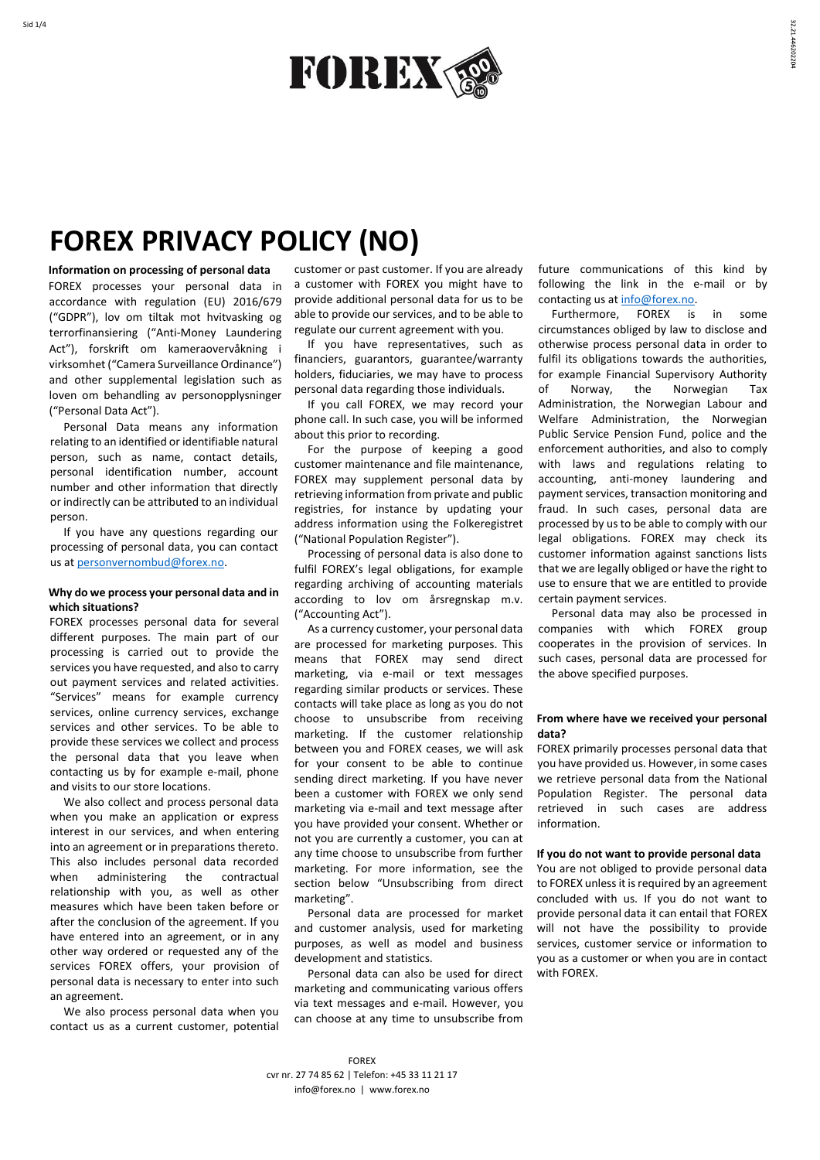

# **FOREX PRIVACY POLICY (NO)**

**Information on processing of personal data** FOREX processes your personal data in accordance with regulation (EU) 2016/679 ("GDPR"), lov om tiltak mot hvitvasking og terrorfinansiering ("Anti-Money Laundering Act"), forskrift om kameraovervåkning i virksomhet ("Camera Surveillance Ordinance") and other supplemental legislation such as loven om behandling av personopplysninger ("Personal Data Act").

 Personal Data means any information relating to an identified or identifiable natural person, such as name, contact details, personal identification number, account number and other information that directly or indirectly can be attributed to an individual person.

 If you have any questions regarding our processing of personal data, you can contact us a[t personvernombud@forex.no.](mailto:personvernombud@forex.no)

## **Why do we process your personal data and in which situations?**

FOREX processes personal data for several different purposes. The main part of our processing is carried out to provide the services you have requested, and also to carry out payment services and related activities. "Services" means for example currency services, online currency services, exchange services and other services. To be able to provide these services we collect and process the personal data that you leave when contacting us by for example e-mail, phone and visits to our store locations.

 We also collect and process personal data when you make an application or express interest in our services, and when entering into an agreement or in preparations thereto. This also includes personal data recorded when administering the contractual relationship with you, as well as other measures which have been taken before or after the conclusion of the agreement. If you have entered into an agreement, or in any other way ordered or requested any of the services FOREX offers, your provision of personal data is necessary to enter into such an agreement.

 We also process personal data when you contact us as a current customer, potential

customer or past customer. If you are already a customer with FOREX you might have to provide additional personal data for us to be able to provide our services, and to be able to regulate our current agreement with you.

 If you have representatives, such as financiers, guarantors, guarantee/warranty holders, fiduciaries, we may have to process personal data regarding those individuals.

 If you call FOREX, we may record your phone call. In such case, you will be informed about this prior to recording.

 For the purpose of keeping a good customer maintenance and file maintenance, FOREX may supplement personal data by retrieving information from private and public registries, for instance by updating your address information using the Folkeregistret ("National Population Register").

 Processing of personal data is also done to fulfil FOREX's legal obligations, for example regarding archiving of accounting materials according to lov om årsregnskap m.v. ("Accounting Act").

 As a currency customer, your personal data are processed for marketing purposes. This means that FOREX may send direct marketing, via e-mail or text messages regarding similar products or services. These contacts will take place as long as you do not choose to unsubscribe from receiving marketing. If the customer relationship between you and FOREX ceases, we will ask for your consent to be able to continue sending direct marketing. If you have never been a customer with FOREX we only send marketing via e-mail and text message after you have provided your consent. Whether or not you are currently a customer, you can at any time choose to unsubscribe from further marketing. For more information, see the section below "Unsubscribing from direct marketing".

 Personal data are processed for market and customer analysis, used for marketing purposes, as well as model and business development and statistics.

 Personal data can also be used for direct marketing and communicating various offers via text messages and e-mail. However, you can choose at any time to unsubscribe from future communications of this kind by following the link in the e-mail or by contacting us at [info@forex.no.](mailto:info@forex.no)

 Furthermore, FOREX is in some circumstances obliged by law to disclose and otherwise process personal data in order to fulfil its obligations towards the authorities, for example Financial Supervisory Authority of Norway, the Norwegian Tax Administration, the Norwegian Labour and Welfare Administration, the Norwegian Public Service Pension Fund, police and the enforcement authorities, and also to comply with laws and regulations relating to accounting, anti-money laundering and payment services, transaction monitoring and fraud. In such cases, personal data are processed by us to be able to comply with our legal obligations. FOREX may check its customer information against sanctions lists that we are legally obliged or have the right to use to ensure that we are entitled to provide certain payment services.

 Personal data may also be processed in companies with which FOREX group cooperates in the provision of services. In such cases, personal data are processed for the above specified purposes.

#### **From where have we received your personal data?**

FOREX primarily processes personal data that you have provided us. However, in some cases we retrieve personal data from the National Population Register. The personal data retrieved in such cases are address information.

#### **If you do not want to provide personal data**

You are not obliged to provide personal data to FOREX unless it is required by an agreement concluded with us. If you do not want to provide personal data it can entail that FOREX will not have the possibility to provide services, customer service or information to you as a customer or when you are in contact with FOREX.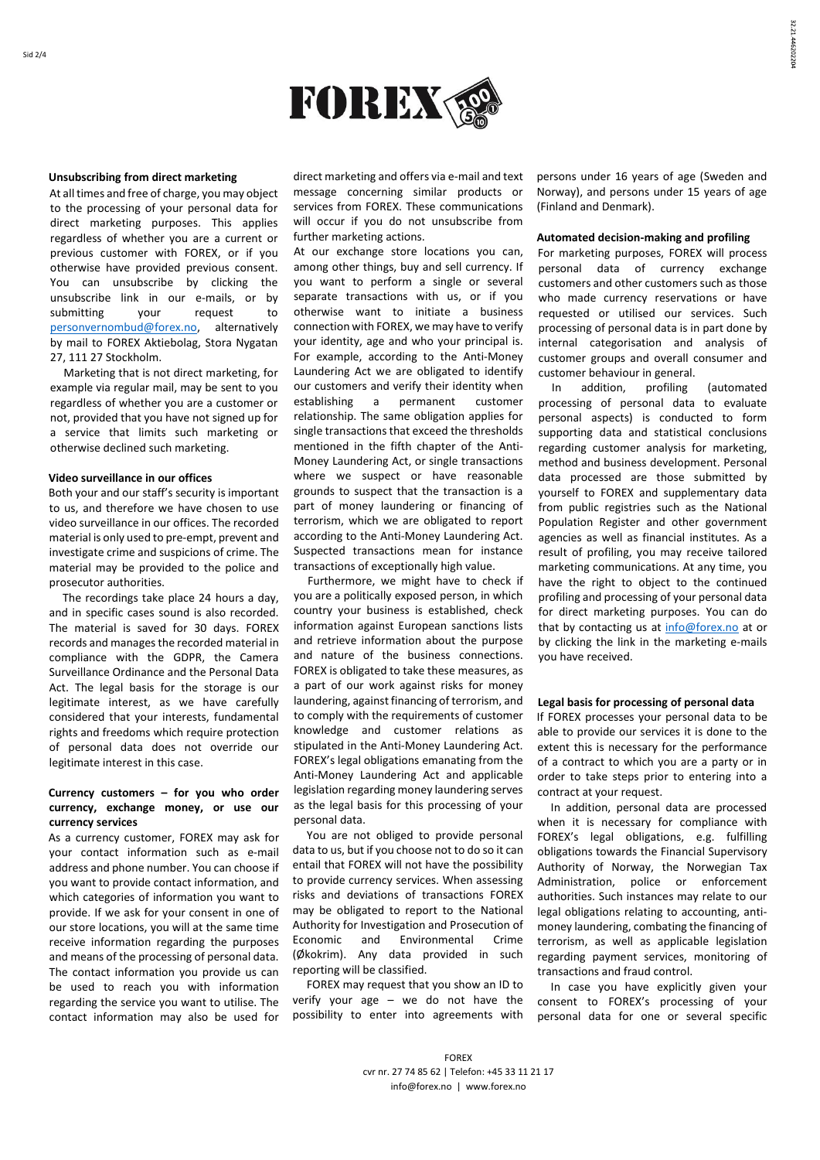

### **Unsubscribing from direct marketing**

At all times and free of charge, you may object to the processing of your personal data for direct marketing purposes. This applies regardless of whether you are a current or previous customer with FOREX, or if you otherwise have provided previous consent. You can unsubscribe by clicking the unsubscribe link in our e-mails, or by submitting your request to [personvernombud@forex.no,](mailto:personvernombud@forex.no) alternatively by mail to FOREX Aktiebolag, Stora Nygatan 27, 111 27 Stockholm.

 Marketing that is not direct marketing, for example via regular mail, may be sent to you regardless of whether you are a customer or not, provided that you have not signed up for a service that limits such marketing or otherwise declined such marketing.

#### **Video surveillance in our offices**

Both your and our staff's security is important to us, and therefore we have chosen to use video surveillance in our offices. The recorded material is only used to pre-empt, prevent and investigate crime and suspicions of crime. The material may be provided to the police and prosecutor authorities.

 The recordings take place 24 hours a day, and in specific cases sound is also recorded. The material is saved for 30 days. FOREX records and manages the recorded material in compliance with the GDPR, the Camera Surveillance Ordinance and the Personal Data Act. The legal basis for the storage is our legitimate interest, as we have carefully considered that your interests, fundamental rights and freedoms which require protection of personal data does not override our legitimate interest in this case.

## **Currency customers – for you who order currency, exchange money, or use our currency services**

As a currency customer, FOREX may ask for your contact information such as e-mail address and phone number. You can choose if you want to provide contact information, and which categories of information you want to provide. If we ask for your consent in one of our store locations, you will at the same time receive information regarding the purposes and means of the processing of personal data. The contact information you provide us can be used to reach you with information regarding the service you want to utilise. The contact information may also be used for

direct marketing and offers via e-mail and text message concerning similar products or services from FOREX. These communications will occur if you do not unsubscribe from further marketing actions.

At our exchange store locations you can, among other things, buy and sell currency. If you want to perform a single or several separate transactions with us, or if you otherwise want to initiate a business connection with FOREX, we may have to verify your identity, age and who your principal is. For example, according to the Anti-Money Laundering Act we are obligated to identify our customers and verify their identity when establishing a permanent customer relationship. The same obligation applies for single transactions that exceed the thresholds mentioned in the fifth chapter of the Anti-Money Laundering Act, or single transactions where we suspect or have reasonable grounds to suspect that the transaction is a part of money laundering or financing of terrorism, which we are obligated to report according to the Anti-Money Laundering Act. Suspected transactions mean for instance transactions of exceptionally high value.

 Furthermore, we might have to check if you are a politically exposed person, in which country your business is established, check information against European sanctions lists and retrieve information about the purpose and nature of the business connections. FOREX is obligated to take these measures, as a part of our work against risks for money laundering, against financing of terrorism, and to comply with the requirements of customer knowledge and customer relations as stipulated in the Anti-Money Laundering Act. FOREX's legal obligations emanating from the Anti-Money Laundering Act and applicable legislation regarding money laundering serves as the legal basis for this processing of your personal data.

 You are not obliged to provide personal data to us, but if you choose not to do so it can entail that FOREX will not have the possibility to provide currency services. When assessing risks and deviations of transactions FOREX may be obligated to report to the National Authority for Investigation and Prosecution of Economic and Environmental Crime (Økokrim). Any data provided in such reporting will be classified.

 FOREX may request that you show an ID to verify your age – we do not have the possibility to enter into agreements with persons under 16 years of age (Sweden and Norway), and persons under 15 years of age (Finland and Denmark).

#### **Automated decision-making and profiling**

For marketing purposes, FOREX will process personal data of currency exchange customers and other customers such as those who made currency reservations or have requested or utilised our services. Such processing of personal data is in part done by internal categorisation and analysis of customer groups and overall consumer and customer behaviour in general.<br>In addition, profiling

 In addition, profiling (automated processing of personal data to evaluate personal aspects) is conducted to form supporting data and statistical conclusions regarding customer analysis for marketing, method and business development. Personal data processed are those submitted by yourself to FOREX and supplementary data from public registries such as the National Population Register and other government agencies as well as financial institutes. As a result of profiling, you may receive tailored marketing communications. At any time, you have the right to object to the continued profiling and processing of your personal data for direct marketing purposes. You can do that by contacting us at [info@forex.no](mailto:info@forex.no) at or by clicking the link in the marketing e-mails you have received.

#### **Legal basis for processing of personal data**

If FOREX processes your personal data to be able to provide our services it is done to the extent this is necessary for the performance of a contract to which you are a party or in order to take steps prior to entering into a contract at your request.

 In addition, personal data are processed when it is necessary for compliance with FOREX's legal obligations, e.g. fulfilling obligations towards the Financial Supervisory Authority of Norway, the Norwegian Tax Administration, police or enforcement authorities. Such instances may relate to our legal obligations relating to accounting, antimoney laundering, combating the financing of terrorism, as well as applicable legislation regarding payment services, monitoring of transactions and fraud control.

 In case you have explicitly given your consent to FOREX's processing of your personal data for one or several specific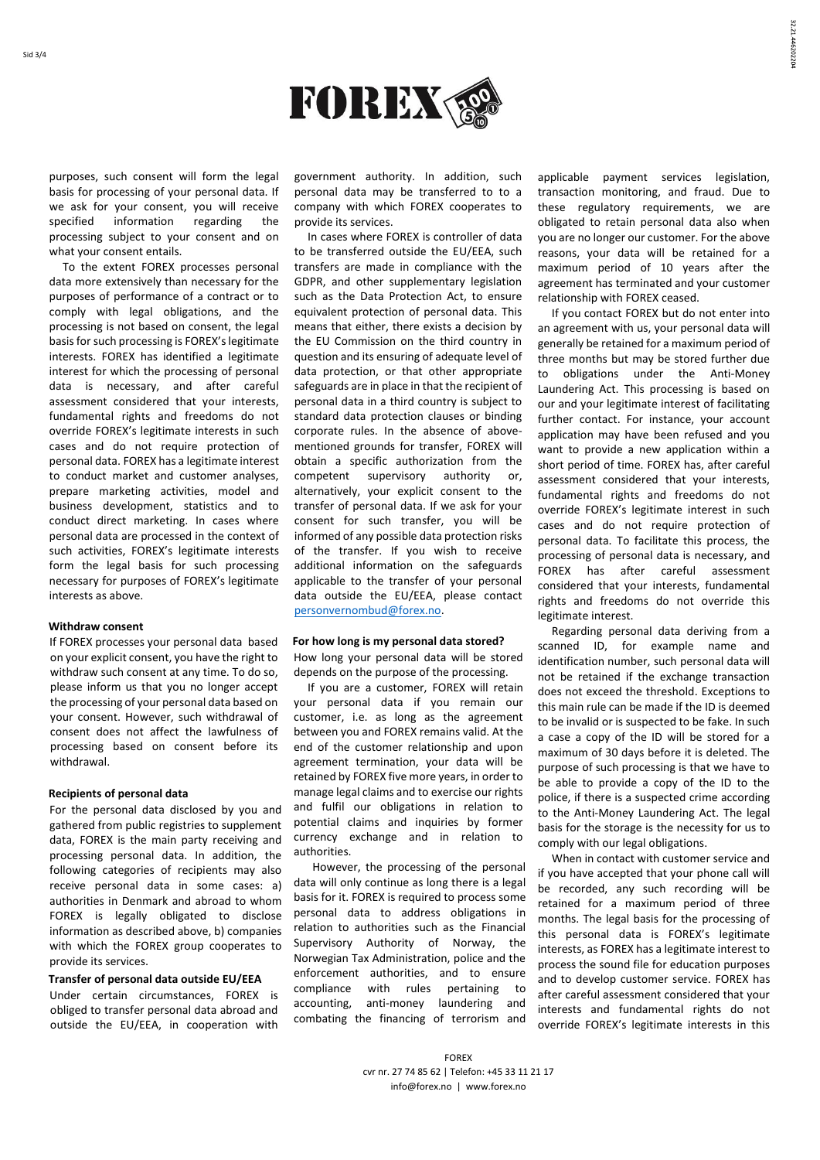

purposes, such consent will form the legal basis for processing of your personal data. If we ask for your consent, you will receive specified information regarding the processing subject to your consent and on what your consent entails.

 To the extent FOREX processes personal data more extensively than necessary for the purposes of performance of a contract or to comply with legal obligations, and the processing is not based on consent, the legal basis for such processing is FOREX's legitimate interests. FOREX has identified a legitimate interest for which the processing of personal data is necessary, and after careful assessment considered that your interests, fundamental rights and freedoms do not override FOREX's legitimate interests in such cases and do not require protection of personal data. FOREX has a legitimate interest to conduct market and customer analyses, prepare marketing activities, model and business development, statistics and to conduct direct marketing. In cases where personal data are processed in the context of such activities, FOREX's legitimate interests form the legal basis for such processing necessary for purposes of FOREX's legitimate interests as above.

## **Withdraw consent**

If FOREX processes your personal data based on your explicit consent, you have the right to withdraw such consent at any time. To do so, please inform us that you no longer accept the processing of your personal data based on your consent. However, such withdrawal of consent does not affect the lawfulness of processing based on consent before its withdrawal.

## **Recipients of personal data**

For the personal data disclosed by you and gathered from public registries to supplement data, FOREX is the main party receiving and processing personal data. In addition, the following categories of recipients may also receive personal data in some cases: a) authorities in Denmark and abroad to whom FOREX is legally obligated to disclose information as described above, b) companies with which the FOREX group cooperates to provide its services.

#### **Transfer of personal data outside EU/EEA**

Under certain circumstances, FOREX is obliged to transfer personal data abroad and outside the EU/EEA, in cooperation with government authority. In addition, such personal data may be transferred to to a company with which FOREX cooperates to provide its services.

 In cases where FOREX is controller of data to be transferred outside the EU/EEA, such transfers are made in compliance with the GDPR, and other supplementary legislation such as the Data Protection Act, to ensure equivalent protection of personal data. This means that either, there exists a decision by the EU Commission on the third country in question and its ensuring of adequate level of data protection, or that other appropriate safeguards are in place in that the recipient of personal data in a third country is subject to standard data protection clauses or binding corporate rules. In the absence of abovementioned grounds for transfer, FOREX will obtain a specific authorization from the competent supervisory authority or, alternatively, your explicit consent to the transfer of personal data. If we ask for your consent for such transfer, you will be informed of any possible data protection risks of the transfer. If you wish to receive additional information on the safeguards applicable to the transfer of your personal data outside the EU/EEA, please contact [personvernombud@forex.no.](mailto:personvernombud@forex.no)

#### **For how long is my personal data stored?**

How long your personal data will be stored depends on the purpose of the processing.

 If you are a customer, FOREX will retain your personal data if you remain our customer, i.e. as long as the agreement between you and FOREX remains valid. At the end of the customer relationship and upon agreement termination, your data will be retained by FOREX five more years, in order to manage legal claims and to exercise our rights and fulfil our obligations in relation to potential claims and inquiries by former currency exchange and in relation to authorities.

 However, the processing of the personal data will only continue as long there is a legal basis for it. FOREX is required to process some personal data to address obligations in relation to authorities such as the Financial Supervisory Authority of Norway, the Norwegian Tax Administration, police and the enforcement authorities, and to ensure compliance with rules pertaining to accounting, anti-money laundering and combating the financing of terrorism and

applicable payment services legislation, transaction monitoring, and fraud. Due to these regulatory requirements, we are obligated to retain personal data also when you are no longer our customer. For the above reasons, your data will be retained for a maximum period of 10 years after the agreement has terminated and your customer relationship with FOREX ceased.

 If you contact FOREX but do not enter into an agreement with us, your personal data will generally be retained for a maximum period of three months but may be stored further due to obligations under the Anti-Money Laundering Act. This processing is based on our and your legitimate interest of facilitating further contact. For instance, your account application may have been refused and you want to provide a new application within a short period of time. FOREX has, after careful assessment considered that your interests, fundamental rights and freedoms do not override FOREX's legitimate interest in such cases and do not require protection of personal data. To facilitate this process, the processing of personal data is necessary, and FOREX has after careful assessment considered that your interests, fundamental rights and freedoms do not override this legitimate interest.

 Regarding personal data deriving from a scanned ID, for example name and identification number, such personal data will not be retained if the exchange transaction does not exceed the threshold. Exceptions to this main rule can be made if the ID is deemed to be invalid or is suspected to be fake. In such a case a copy of the ID will be stored for a maximum of 30 days before it is deleted. The purpose of such processing is that we have to be able to provide a copy of the ID to the police, if there is a suspected crime according to the Anti-Money Laundering Act. The legal basis for the storage is the necessity for us to comply with our legal obligations.

 When in contact with customer service and if you have accepted that your phone call will be recorded, any such recording will be retained for a maximum period of three months. The legal basis for the processing of this personal data is FOREX's legitimate interests, as FOREX has a legitimate interest to process the sound file for education purposes and to develop customer service. FOREX has after careful assessment considered that your interests and fundamental rights do not override FOREX's legitimate interests in this